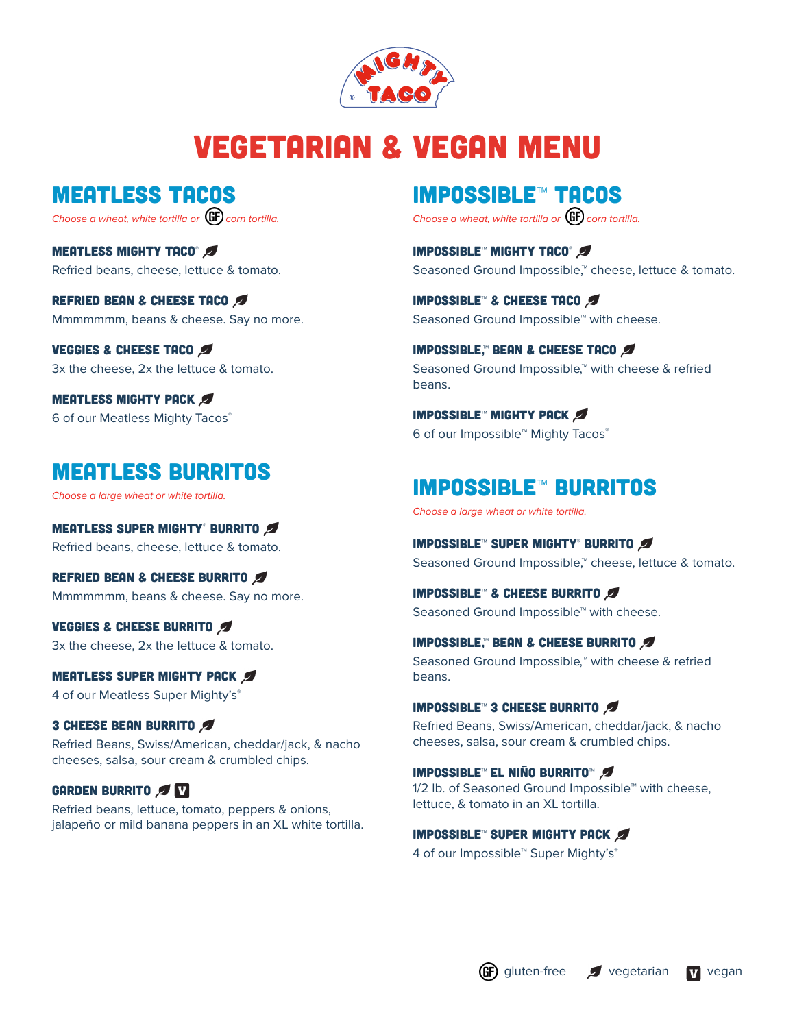

# Vegetarian & Vegan Menu

meatless tacos

*Choose a wheat, white tortilla or* **GF** corn tortilla.

MEATLESS MIGHTY TACO® Refried beans, cheese, lettuce & tomato.

REFRIED BEAN & CHEESE TACO Mmmmmmm, beans & cheese. Say no more.

VEGGIES & CHEESE TACO 3x the cheese, 2x the lettuce & tomato.

**MEATLESS MIGHTY PACK Ø** 6 of our Meatless Mighty Tacos®

# meatless Burritos

*Choose a large wheat or white tortilla.*

Meatless Super Mighty® Burrito Refried beans, cheese, lettuce & tomato.

REFRIED BEAN & CHEESE BURRITO Mmmmmmm, beans & cheese. Say no more.

VEGGIES & CHEESE BURRITO 3x the cheese, 2x the lettuce & tomato.

**MEATLESS SUPER MIGHTY PACK #** 4 of our Meatless Super Mighty's®

3 CHEESE BEAN BURRITO Refried Beans, Swiss/American, cheddar/jack, & nacho cheeses, salsa, sour cream & crumbled chips.

### GARDEN BURRITO

Refried beans, lettuce, tomato, peppers & onions, jalapeño or mild banana peppers in an XL white tortilla.

# Impossible**™** tacos

*Choose a wheat, white tortilla or* **GF** corn tortilla.

Impossible**™** Mighty Taco® Seasoned Ground Impossible,™ cheese, lettuce & tomato.

Impossible**™** & Cheese taco Seasoned Ground Impossible<sup>™</sup> with cheese.

Impossible,**™** bean & Cheese taco Seasoned Ground Impossible,<sup>™</sup> with cheese & refried beans.

Impossible**™** mighty pack 6 of our Impossible™ Mighty Tacos®

# Impossible**™** Burritos

*Choose a large wheat or white tortilla.*

Impossible**™** Super Mighty® Burrito Seasoned Ground Impossible,<sup>™</sup> cheese, lettuce & tomato.

Impossible**™** & Cheese burrito

Seasoned Ground Impossible™ with cheese.

Impossible,**™** bean & Cheese burrito Seasoned Ground Impossible,™ with cheese & refried beans.

Impossible**™** 3 Cheese Burrito Refried Beans, Swiss/American, cheddar/jack, & nacho cheeses, salsa, sour cream & crumbled chips.

Impossible**™** El Niño Burrito™ 1/2 lb. of Seasoned Ground Impossible™ with cheese, lettuce, & tomato in an XL tortilla.

Impossible**™** super mighty pack 4 of our Impossible™ Super Mighty's®